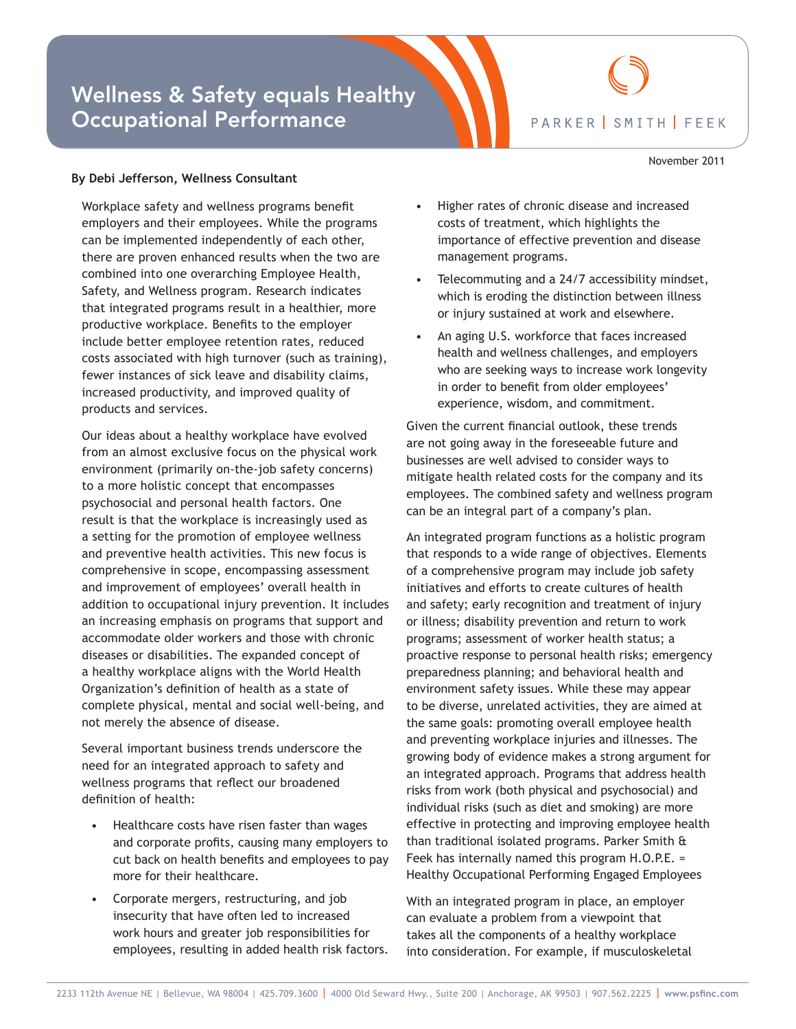## Wellness & Safety equals Healthy Occupational Performance



November 2011

## **By Debi Jefferson, Wellness Consultant**

Workplace safety and wellness programs benefit employers and their employees. While the programs can be implemented independently of each other, there are proven enhanced results when the two are combined into one overarching Employee Health, Safety, and Wellness program. Research indicates that integrated programs result in a healthier, more productive workplace. Benefits to the employer include better employee retention rates, reduced costs associated with high turnover (such as training), fewer instances of sick leave and disability claims, increased productivity, and improved quality of products and services.

Our ideas about a healthy workplace have evolved from an almost exclusive focus on the physical work environment (primarily on-the-job safety concerns) to a more holistic concept that encompasses psychosocial and personal health factors. One result is that the workplace is increasingly used as a setting for the promotion of employee wellness and preventive health activities. This new focus is comprehensive in scope, encompassing assessment and improvement of employees' overall health in addition to occupational injury prevention. It includes an increasing emphasis on programs that support and accommodate older workers and those with chronic diseases or disabilities. The expanded concept of a healthy workplace aligns with the World Health Organization's definition of health as a state of complete physical, mental and social well-being, and not merely the absence of disease.

Several important business trends underscore the need for an integrated approach to safety and wellness programs that reflect our broadened definition of health:

- Healthcare costs have risen faster than wages and corporate profits, causing many employers to cut back on health benefits and employees to pay more for their healthcare.
- Corporate mergers, restructuring, and job insecurity that have often led to increased work hours and greater job responsibilities for employees, resulting in added health risk factors.
- Higher rates of chronic disease and increased costs of treatment, which highlights the importance of effective prevention and disease management programs.
- Telecommuting and a 24/7 accessibility mindset, which is eroding the distinction between illness or injury sustained at work and elsewhere.
- An aging U.S. workforce that faces increased health and wellness challenges, and employers who are seeking ways to increase work longevity in order to benefit from older employees' experience, wisdom, and commitment.

Given the current financial outlook, these trends are not going away in the foreseeable future and businesses are well advised to consider ways to mitigate health related costs for the company and its employees. The combined safety and wellness program can be an integral part of a company's plan.

An integrated program functions as a holistic program that responds to a wide range of objectives. Elements of a comprehensive program may include job safety initiatives and efforts to create cultures of health and safety; early recognition and treatment of injury or illness; disability prevention and return to work programs; assessment of worker health status; a proactive response to personal health risks; emergency preparedness planning; and behavioral health and environment safety issues. While these may appear to be diverse, unrelated activities, they are aimed at the same goals: promoting overall employee health and preventing workplace injuries and illnesses. The growing body of evidence makes a strong argument for an integrated approach. Programs that address health risks from work (both physical and psychosocial) and individual risks (such as diet and smoking) are more effective in protecting and improving employee health than traditional isolated programs. Parker Smith & Feek has internally named this program H.O.P.E. = Healthy Occupational Performing Engaged Employees

With an integrated program in place, an employer can evaluate a problem from a viewpoint that takes all the components of a healthy workplace into consideration. For example, if musculoskeletal